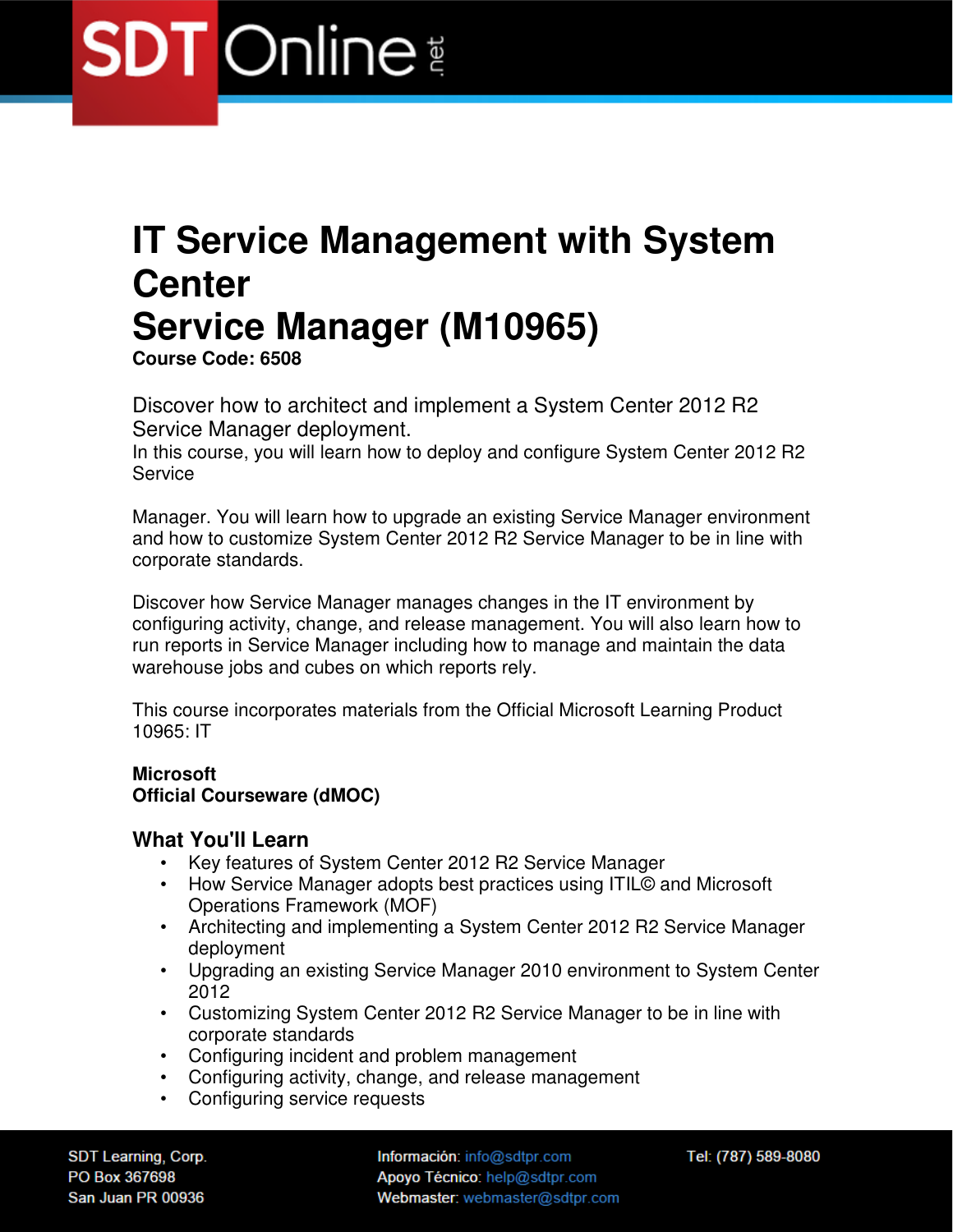### **IT Service Management with System Center Service Manager (M10965)**

**Course Code: 6508** 

Discover how to architect and implement a System Center 2012 R2 Service Manager deployment.

In this course, you will learn how to deploy and configure System Center 2012 R2 Service

Manager. You will learn how to upgrade an existing Service Manager environment and how to customize System Center 2012 R2 Service Manager to be in line with corporate standards.

Discover how Service Manager manages changes in the IT environment by configuring activity, change, and release management. You will also learn how to run reports in Service Manager including how to manage and maintain the data warehouse jobs and cubes on which reports rely.

This course incorporates materials from the Official Microsoft Learning Product 10965: IT

#### **Microsoft Official Courseware (dMOC)**

#### **What You'll Learn**

- Key features of System Center 2012 R2 Service Manager
- How Service Manager adopts best practices using ITIL© and Microsoft Operations Framework (MOF)
- Architecting and implementing a System Center 2012 R2 Service Manager deployment
- Upgrading an existing Service Manager 2010 environment to System Center 2012
- Customizing System Center 2012 R2 Service Manager to be in line with corporate standards
- Configuring incident and problem management
- Configuring activity, change, and release management
- Configuring service requests

SDT Learning, Corp. PO Box 367698 San Juan PR 00936

Información: info@sdtpr.com Apoyo Técnico: help@sdtpr.com Webmaster: webmaster@sdtpr.com Tel: (787) 589-8080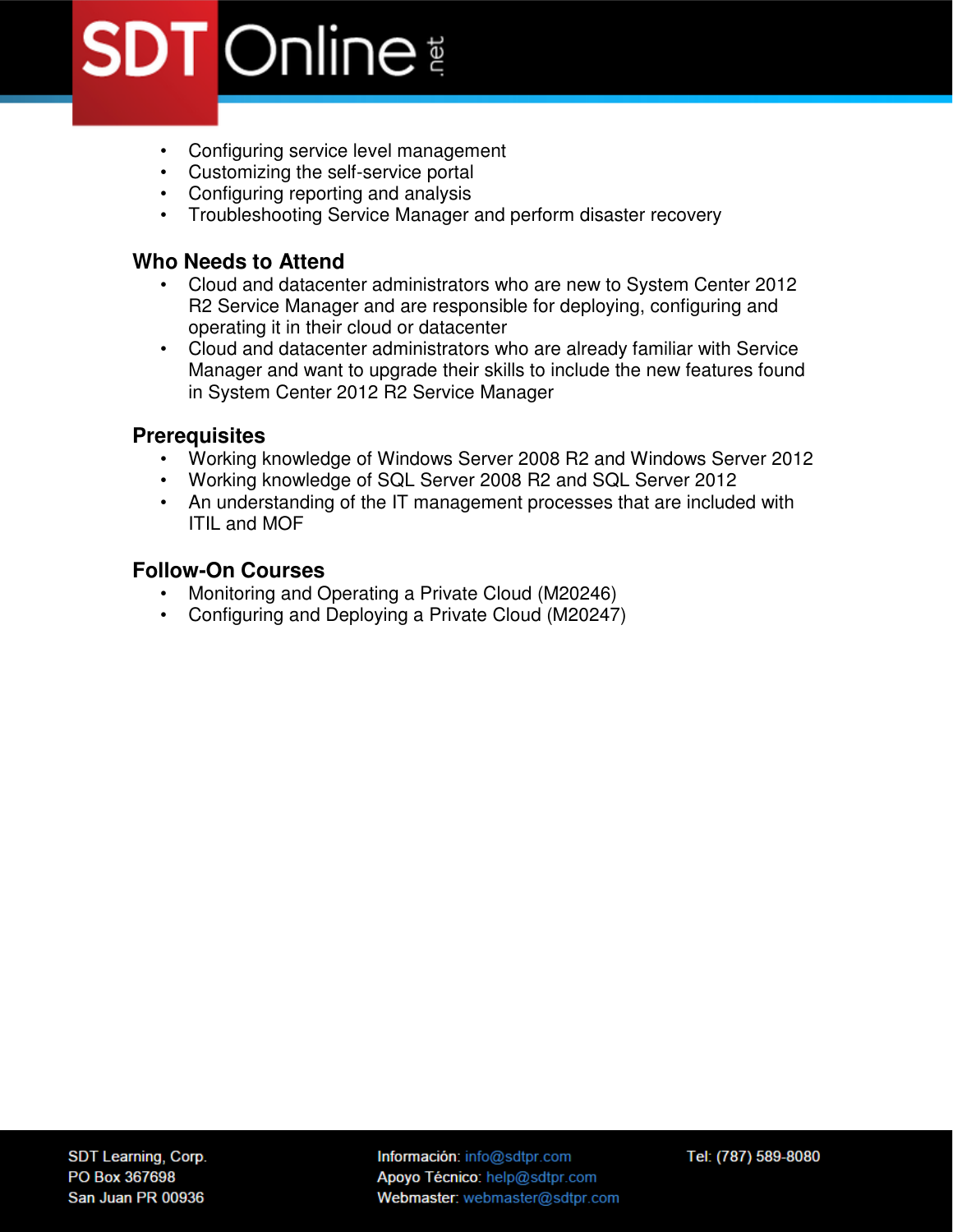- Configuring service level management
- Customizing the self-service portal
- Configuring reporting and analysis
- Troubleshooting Service Manager and perform disaster recovery

#### **Who Needs to Attend**

- Cloud and datacenter administrators who are new to System Center 2012 R2 Service Manager and are responsible for deploying, configuring and operating it in their cloud or datacenter
- Cloud and datacenter administrators who are already familiar with Service Manager and want to upgrade their skills to include the new features found in System Center 2012 R2 Service Manager

#### **Prerequisites**

- Working knowledge of Windows Server 2008 R2 and Windows Server 2012
- Working knowledge of SQL Server 2008 R2 and SQL Server 2012
- An understanding of the IT management processes that are included with ITIL and MOF

#### **Follow-On Courses**

- Monitoring and Operating a Private Cloud (M20246)
- Configuring and Deploying a Private Cloud (M20247)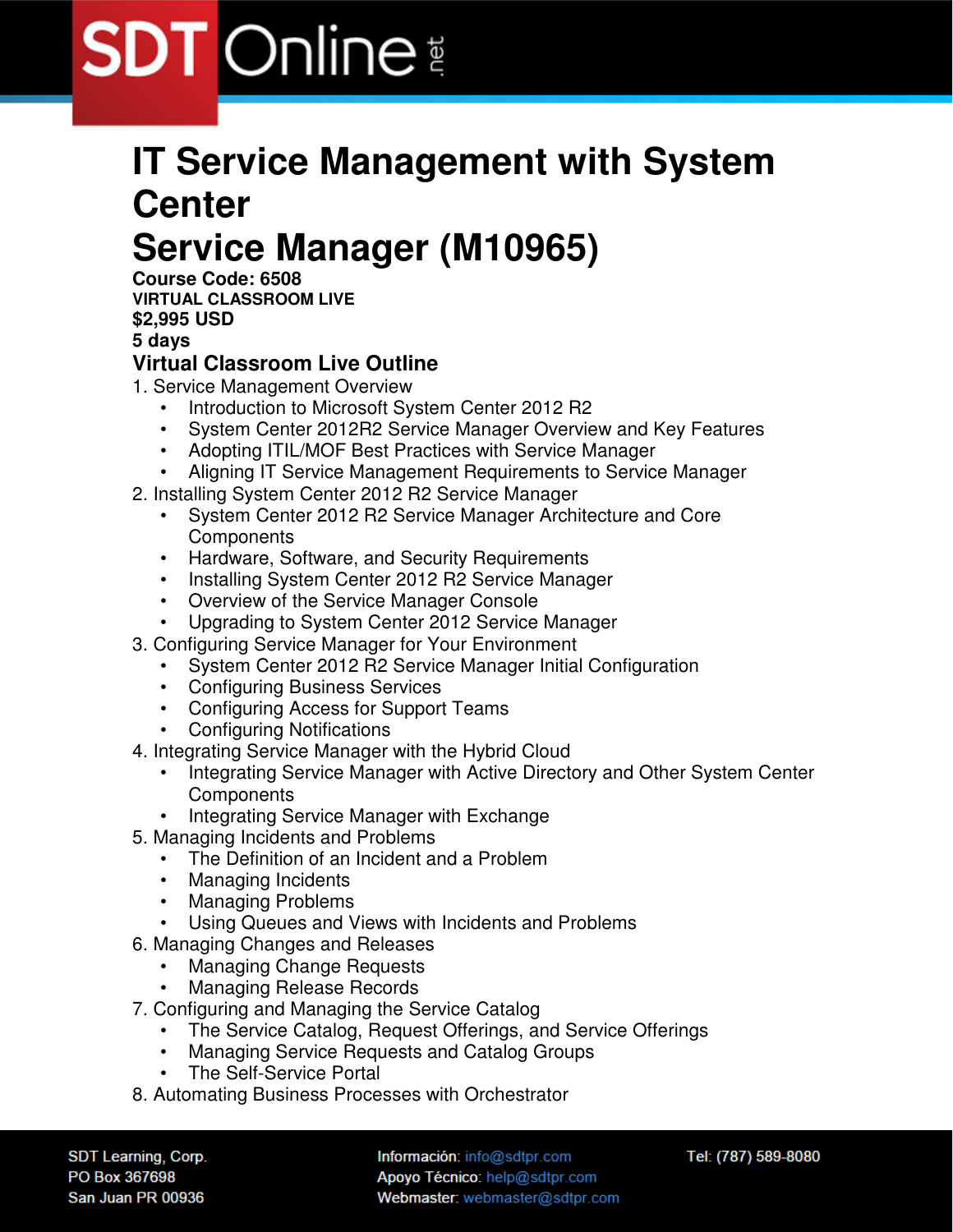### **IT Service Management with System Center Service Manager (M10965)**

**Course Code: 6508 VIRTUAL CLASSROOM LIVE \$2,995 USD** 

**5 days** 

#### **Virtual Classroom Live Outline**

- 1. Service Management Overview
	- Introduction to Microsoft System Center 2012 R2
	- System Center 2012R2 Service Manager Overview and Key Features
	- Adopting ITIL/MOF Best Practices with Service Manager
	- Aligning IT Service Management Requirements to Service Manager
- 2. Installing System Center 2012 R2 Service Manager
	- System Center 2012 R2 Service Manager Architecture and Core **Components**
	- Hardware, Software, and Security Requirements
	- Installing System Center 2012 R2 Service Manager
	- Overview of the Service Manager Console
	- Upgrading to System Center 2012 Service Manager
- 3. Configuring Service Manager for Your Environment
	- System Center 2012 R2 Service Manager Initial Configuration
	- Configuring Business Services
	- Configuring Access for Support Teams
	- Configuring Notifications
- 4. Integrating Service Manager with the Hybrid Cloud
	- Integrating Service Manager with Active Directory and Other System Center **Components**
	- Integrating Service Manager with Exchange
- 5. Managing Incidents and Problems
	- The Definition of an Incident and a Problem
	- Managing Incidents
	- Managing Problems
	- Using Queues and Views with Incidents and Problems
- 6. Managing Changes and Releases
	- Managing Change Requests
	- Managing Release Records
- 7. Configuring and Managing the Service Catalog
	- The Service Catalog, Request Offerings, and Service Offerings
	- Managing Service Requests and Catalog Groups
	- The Self-Service Portal
- 8. Automating Business Processes with Orchestrator

SDT Learning, Corp. PO Box 367698 San Juan PR 00936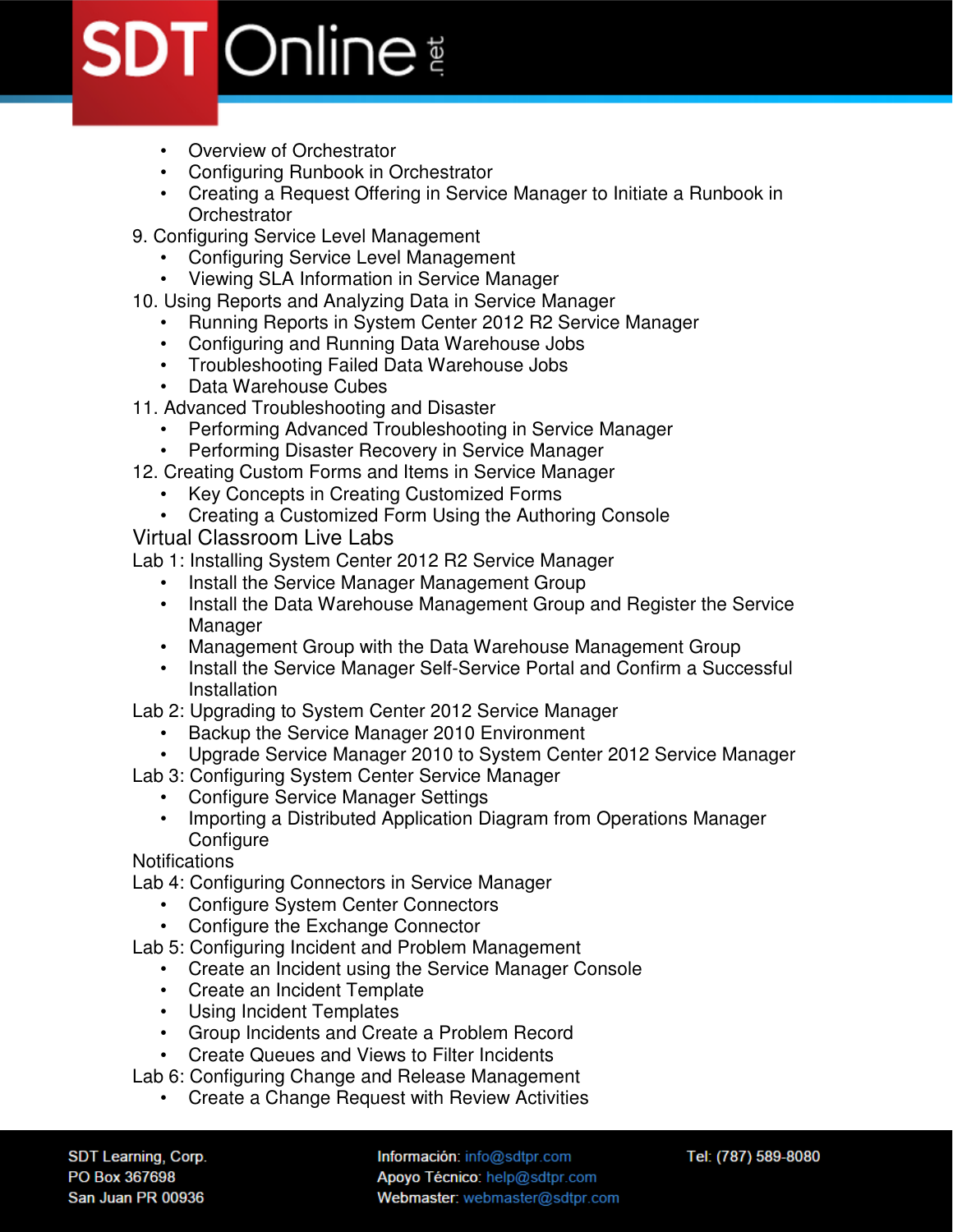- Overview of Orchestrator
- Configuring Runbook in Orchestrator
- Creating a Request Offering in Service Manager to Initiate a Runbook in **Orchestrator**
- 9. Configuring Service Level Management
	- Configuring Service Level Management
	- Viewing SLA Information in Service Manager
- 10. Using Reports and Analyzing Data in Service Manager
	- Running Reports in System Center 2012 R2 Service Manager
	- Configuring and Running Data Warehouse Jobs
	- Troubleshooting Failed Data Warehouse Jobs
	- Data Warehouse Cubes
- 11. Advanced Troubleshooting and Disaster
	- Performing Advanced Troubleshooting in Service Manager
	- Performing Disaster Recovery in Service Manager
- 12. Creating Custom Forms and Items in Service Manager
	- Key Concepts in Creating Customized Forms
	- Creating a Customized Form Using the Authoring Console

Virtual Classroom Live Labs

Lab 1: Installing System Center 2012 R2 Service Manager

- Install the Service Manager Management Group
- Install the Data Warehouse Management Group and Register the Service Manager
- Management Group with the Data Warehouse Management Group
- Install the Service Manager Self-Service Portal and Confirm a Successful **Installation**
- Lab 2: Upgrading to System Center 2012 Service Manager
	- Backup the Service Manager 2010 Environment
	- Upgrade Service Manager 2010 to System Center 2012 Service Manager
- Lab 3: Configuring System Center Service Manager
	- Configure Service Manager Settings
	- Importing a Distributed Application Diagram from Operations Manager **Configure**

**Notifications** 

- Lab 4: Configuring Connectors in Service Manager
	- Configure System Center Connectors
	- Configure the Exchange Connector

Lab 5: Configuring Incident and Problem Management

- Create an Incident using the Service Manager Console
- Create an Incident Template
- Using Incident Templates
- Group Incidents and Create a Problem Record
- Create Queues and Views to Filter Incidents

Lab 6: Configuring Change and Release Management

• Create a Change Request with Review Activities

SDT Learning, Corp. PO Box 367698 San Juan PR 00936